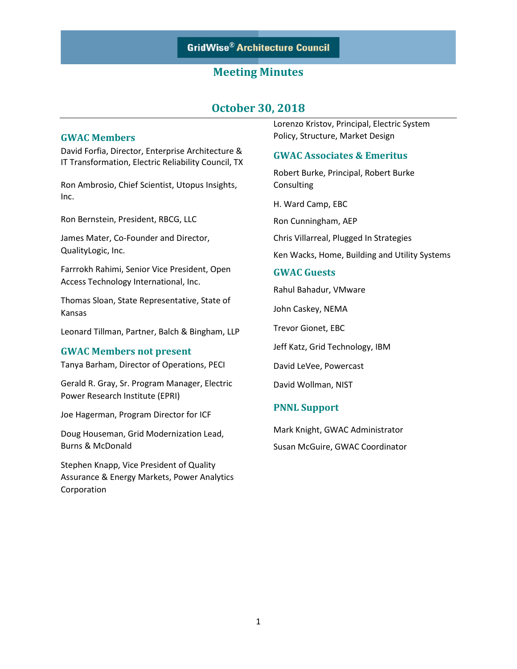# **October 30, 2018**

### **GWAC Members**

David Forfia, Director, Enterprise Architecture & IT Transformation, Electric Reliability Council, TX

Ron Ambrosio, Chief Scientist, Utopus Insights, Inc.

Ron Bernstein, President, RBCG, LLC

James Mater, Co-Founder and Director, QualityLogic, Inc.

Farrrokh Rahimi, Senior Vice President, Open Access Technology International, Inc.

Thomas Sloan, State Representative, State of Kansas

Leonard Tillman, Partner, Balch & Bingham, LLP

#### **GWAC Members not present**

Tanya Barham, Director of Operations, PECI

Gerald R. Gray, Sr. Program Manager, Electric Power Research Institute (EPRI)

Joe Hagerman, Program Director for ICF

Doug Houseman, Grid Modernization Lead, Burns & McDonald

Stephen Knapp, Vice President of Quality Assurance & Energy Markets, Power Analytics Corporation

Lorenzo Kristov, Principal, Electric System Policy, Structure, Market Design

### **GWAC Associates & Emeritus**

Robert Burke, Principal, Robert Burke Consulting

H. Ward Camp, EBC

Ron Cunningham, AEP

Chris Villarreal, Plugged In Strategies

Ken Wacks, Home, Building and Utility Systems

### **GWAC Guests**

Rahul Bahadur, VMware

John Caskey, NEMA

Trevor Gionet, EBC

Jeff Katz, Grid Technology, IBM

David LeVee, Powercast

David Wollman, NIST

### **PNNL Support**

Mark Knight, GWAC Administrator Susan McGuire, GWAC Coordinator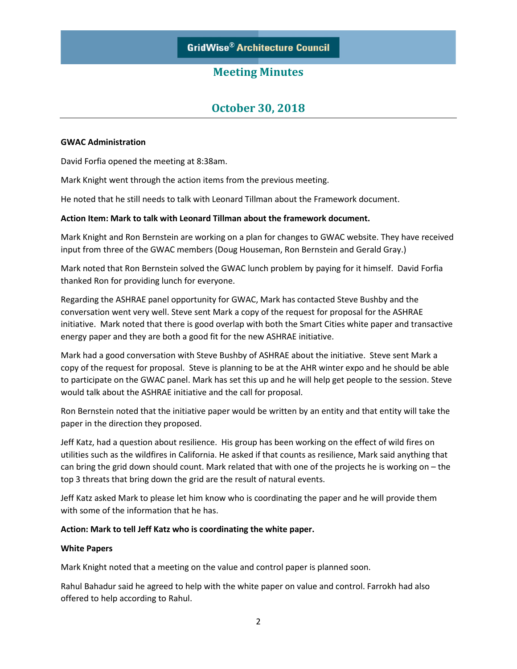# **October 30, 2018**

### **GWAC Administration**

David Forfia opened the meeting at 8:38am.

Mark Knight went through the action items from the previous meeting.

He noted that he still needs to talk with Leonard Tillman about the Framework document.

### **Action Item: Mark to talk with Leonard Tillman about the framework document.**

Mark Knight and Ron Bernstein are working on a plan for changes to GWAC website. They have received input from three of the GWAC members (Doug Houseman, Ron Bernstein and Gerald Gray.)

Mark noted that Ron Bernstein solved the GWAC lunch problem by paying for it himself. David Forfia thanked Ron for providing lunch for everyone.

Regarding the ASHRAE panel opportunity for GWAC, Mark has contacted Steve Bushby and the conversation went very well. Steve sent Mark a copy of the request for proposal for the ASHRAE initiative. Mark noted that there is good overlap with both the Smart Cities white paper and transactive energy paper and they are both a good fit for the new ASHRAE initiative.

Mark had a good conversation with Steve Bushby of ASHRAE about the initiative. Steve sent Mark a copy of the request for proposal. Steve is planning to be at the AHR winter expo and he should be able to participate on the GWAC panel. Mark has set this up and he will help get people to the session. Steve would talk about the ASHRAE initiative and the call for proposal.

Ron Bernstein noted that the initiative paper would be written by an entity and that entity will take the paper in the direction they proposed.

Jeff Katz, had a question about resilience. His group has been working on the effect of wild fires on utilities such as the wildfires in California. He asked if that counts as resilience, Mark said anything that can bring the grid down should count. Mark related that with one of the projects he is working on – the top 3 threats that bring down the grid are the result of natural events.

Jeff Katz asked Mark to please let him know who is coordinating the paper and he will provide them with some of the information that he has.

#### **Action: Mark to tell Jeff Katz who is coordinating the white paper.**

#### **White Papers**

Mark Knight noted that a meeting on the value and control paper is planned soon.

Rahul Bahadur said he agreed to help with the white paper on value and control. Farrokh had also offered to help according to Rahul.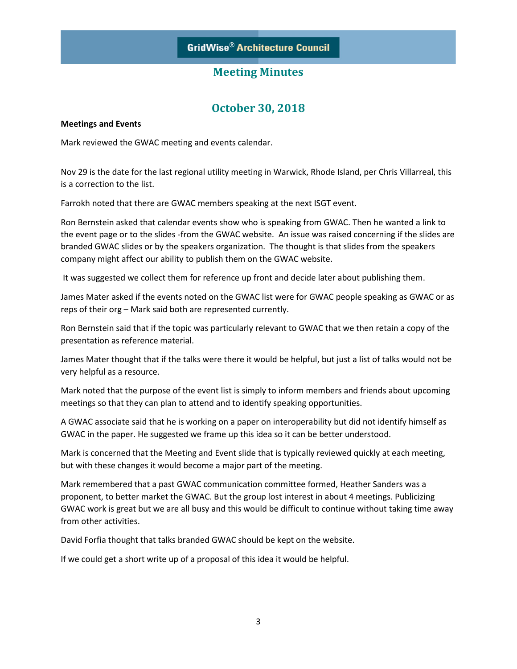# **October 30, 2018**

#### **Meetings and Events**

Mark reviewed the GWAC meeting and events calendar.

Nov 29 is the date for the last regional utility meeting in Warwick, Rhode Island, per Chris Villarreal, this is a correction to the list.

Farrokh noted that there are GWAC members speaking at the next ISGT event.

Ron Bernstein asked that calendar events show who is speaking from GWAC. Then he wanted a link to the event page or to the slides -from the GWAC website. An issue was raised concerning if the slides are branded GWAC slides or by the speakers organization. The thought is that slides from the speakers company might affect our ability to publish them on the GWAC website.

It was suggested we collect them for reference up front and decide later about publishing them.

James Mater asked if the events noted on the GWAC list were for GWAC people speaking as GWAC or as reps of their org – Mark said both are represented currently.

Ron Bernstein said that if the topic was particularly relevant to GWAC that we then retain a copy of the presentation as reference material.

James Mater thought that if the talks were there it would be helpful, but just a list of talks would not be very helpful as a resource.

Mark noted that the purpose of the event list is simply to inform members and friends about upcoming meetings so that they can plan to attend and to identify speaking opportunities.

A GWAC associate said that he is working on a paper on interoperability but did not identify himself as GWAC in the paper. He suggested we frame up this idea so it can be better understood.

Mark is concerned that the Meeting and Event slide that is typically reviewed quickly at each meeting, but with these changes it would become a major part of the meeting.

Mark remembered that a past GWAC communication committee formed, Heather Sanders was a proponent, to better market the GWAC. But the group lost interest in about 4 meetings. Publicizing GWAC work is great but we are all busy and this would be difficult to continue without taking time away from other activities.

David Forfia thought that talks branded GWAC should be kept on the website.

If we could get a short write up of a proposal of this idea it would be helpful.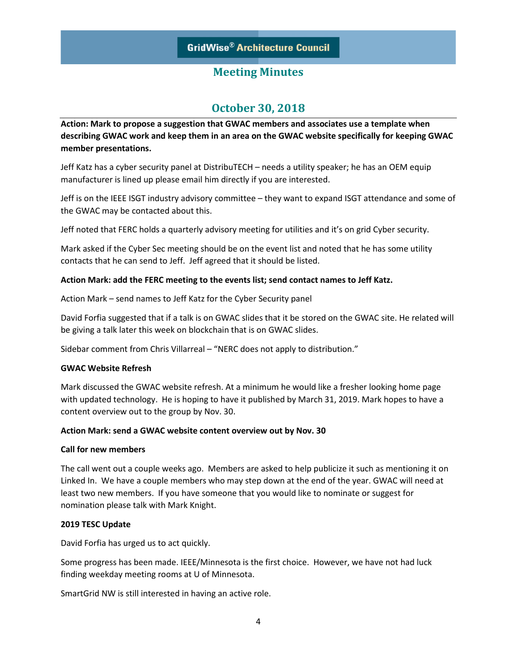# **October 30, 2018**

**Action: Mark to propose a suggestion that GWAC members and associates use a template when describing GWAC work and keep them in an area on the GWAC website specifically for keeping GWAC member presentations.** 

Jeff Katz has a cyber security panel at DistribuTECH – needs a utility speaker; he has an OEM equip manufacturer is lined up please email him directly if you are interested.

Jeff is on the IEEE ISGT industry advisory committee – they want to expand ISGT attendance and some of the GWAC may be contacted about this.

Jeff noted that FERC holds a quarterly advisory meeting for utilities and it's on grid Cyber security.

Mark asked if the Cyber Sec meeting should be on the event list and noted that he has some utility contacts that he can send to Jeff. Jeff agreed that it should be listed.

### **Action Mark: add the FERC meeting to the events list; send contact names to Jeff Katz.**

Action Mark – send names to Jeff Katz for the Cyber Security panel

David Forfia suggested that if a talk is on GWAC slides that it be stored on the GWAC site. He related will be giving a talk later this week on blockchain that is on GWAC slides.

Sidebar comment from Chris Villarreal – "NERC does not apply to distribution."

#### **GWAC Website Refresh**

Mark discussed the GWAC website refresh. At a minimum he would like a fresher looking home page with updated technology. He is hoping to have it published by March 31, 2019. Mark hopes to have a content overview out to the group by Nov. 30.

#### **Action Mark: send a GWAC website content overview out by Nov. 30**

#### **Call for new members**

The call went out a couple weeks ago. Members are asked to help publicize it such as mentioning it on Linked In. We have a couple members who may step down at the end of the year. GWAC will need at least two new members. If you have someone that you would like to nominate or suggest for nomination please talk with Mark Knight.

### **2019 TESC Update**

David Forfia has urged us to act quickly.

Some progress has been made. IEEE/Minnesota is the first choice. However, we have not had luck finding weekday meeting rooms at U of Minnesota.

SmartGrid NW is still interested in having an active role.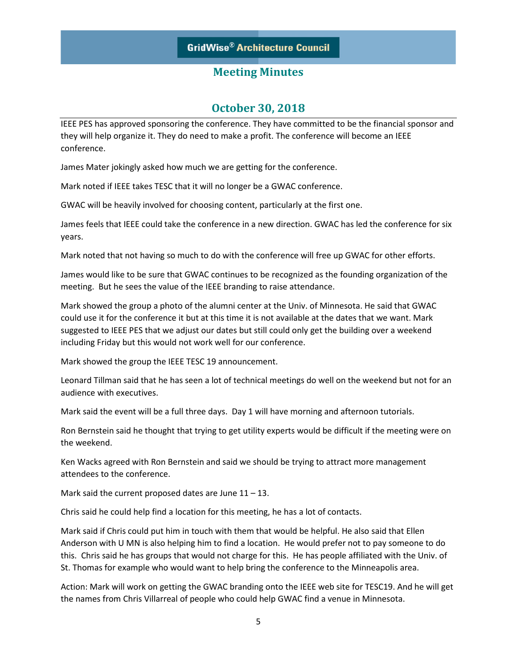# **October 30, 2018**

IEEE PES has approved sponsoring the conference. They have committed to be the financial sponsor and they will help organize it. They do need to make a profit. The conference will become an IEEE conference.

James Mater jokingly asked how much we are getting for the conference.

Mark noted if IEEE takes TESC that it will no longer be a GWAC conference.

GWAC will be heavily involved for choosing content, particularly at the first one.

James feels that IEEE could take the conference in a new direction. GWAC has led the conference for six years.

Mark noted that not having so much to do with the conference will free up GWAC for other efforts.

James would like to be sure that GWAC continues to be recognized as the founding organization of the meeting. But he sees the value of the IEEE branding to raise attendance.

Mark showed the group a photo of the alumni center at the Univ. of Minnesota. He said that GWAC could use it for the conference it but at this time it is not available at the dates that we want. Mark suggested to IEEE PES that we adjust our dates but still could only get the building over a weekend including Friday but this would not work well for our conference.

Mark showed the group the IEEE TESC 19 announcement.

Leonard Tillman said that he has seen a lot of technical meetings do well on the weekend but not for an audience with executives.

Mark said the event will be a full three days. Day 1 will have morning and afternoon tutorials.

Ron Bernstein said he thought that trying to get utility experts would be difficult if the meeting were on the weekend.

Ken Wacks agreed with Ron Bernstein and said we should be trying to attract more management attendees to the conference.

Mark said the current proposed dates are June  $11 - 13$ .

Chris said he could help find a location for this meeting, he has a lot of contacts.

Mark said if Chris could put him in touch with them that would be helpful. He also said that Ellen Anderson with U MN is also helping him to find a location. He would prefer not to pay someone to do this. Chris said he has groups that would not charge for this. He has people affiliated with the Univ. of St. Thomas for example who would want to help bring the conference to the Minneapolis area.

Action: Mark will work on getting the GWAC branding onto the IEEE web site for TESC19. And he will get the names from Chris Villarreal of people who could help GWAC find a venue in Minnesota.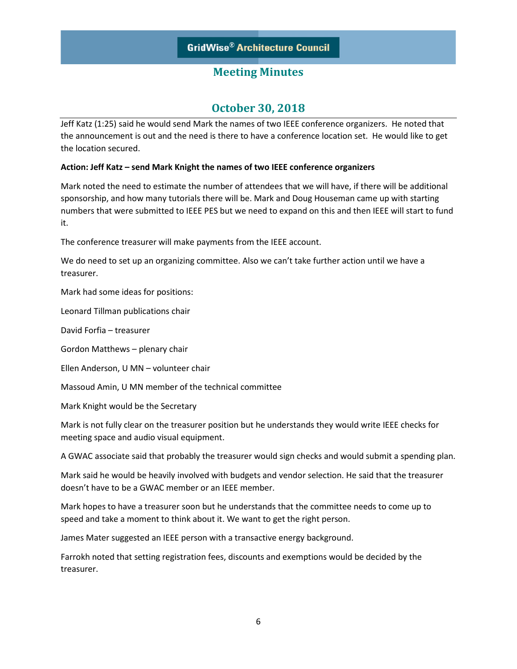# **October 30, 2018**

Jeff Katz (1:25) said he would send Mark the names of two IEEE conference organizers. He noted that the announcement is out and the need is there to have a conference location set. He would like to get the location secured.

### **Action: Jeff Katz – send Mark Knight the names of two IEEE conference organizers**

Mark noted the need to estimate the number of attendees that we will have, if there will be additional sponsorship, and how many tutorials there will be. Mark and Doug Houseman came up with starting numbers that were submitted to IEEE PES but we need to expand on this and then IEEE will start to fund it.

The conference treasurer will make payments from the IEEE account.

We do need to set up an organizing committee. Also we can't take further action until we have a treasurer.

Mark had some ideas for positions:

Leonard Tillman publications chair

David Forfia – treasurer

Gordon Matthews – plenary chair

Ellen Anderson, U MN – volunteer chair

Massoud Amin, U MN member of the technical committee

Mark Knight would be the Secretary

Mark is not fully clear on the treasurer position but he understands they would write IEEE checks for meeting space and audio visual equipment.

A GWAC associate said that probably the treasurer would sign checks and would submit a spending plan.

Mark said he would be heavily involved with budgets and vendor selection. He said that the treasurer doesn't have to be a GWAC member or an IEEE member.

Mark hopes to have a treasurer soon but he understands that the committee needs to come up to speed and take a moment to think about it. We want to get the right person.

James Mater suggested an IEEE person with a transactive energy background.

Farrokh noted that setting registration fees, discounts and exemptions would be decided by the treasurer.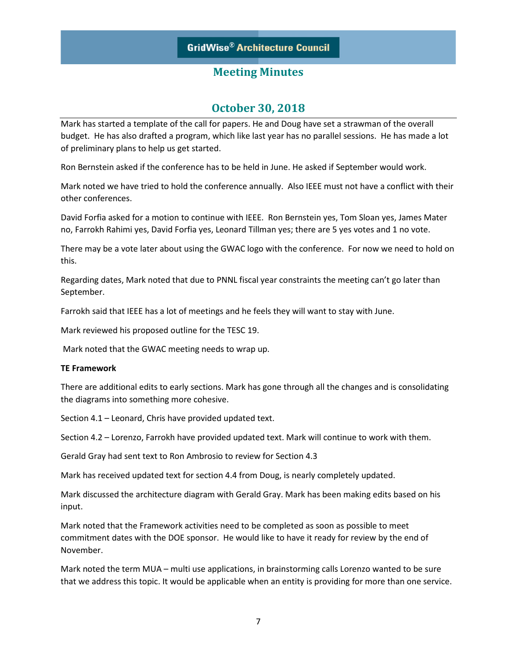## **October 30, 2018**

Mark has started a template of the call for papers. He and Doug have set a strawman of the overall budget. He has also drafted a program, which like last year has no parallel sessions. He has made a lot of preliminary plans to help us get started.

Ron Bernstein asked if the conference has to be held in June. He asked if September would work.

Mark noted we have tried to hold the conference annually. Also IEEE must not have a conflict with their other conferences.

David Forfia asked for a motion to continue with IEEE. Ron Bernstein yes, Tom Sloan yes, James Mater no, Farrokh Rahimi yes, David Forfia yes, Leonard Tillman yes; there are 5 yes votes and 1 no vote.

There may be a vote later about using the GWAC logo with the conference. For now we need to hold on this.

Regarding dates, Mark noted that due to PNNL fiscal year constraints the meeting can't go later than September.

Farrokh said that IEEE has a lot of meetings and he feels they will want to stay with June.

Mark reviewed his proposed outline for the TESC 19.

Mark noted that the GWAC meeting needs to wrap up.

#### **TE Framework**

There are additional edits to early sections. Mark has gone through all the changes and is consolidating the diagrams into something more cohesive.

Section 4.1 – Leonard, Chris have provided updated text.

Section 4.2 – Lorenzo, Farrokh have provided updated text. Mark will continue to work with them.

Gerald Gray had sent text to Ron Ambrosio to review for Section 4.3

Mark has received updated text for section 4.4 from Doug, is nearly completely updated.

Mark discussed the architecture diagram with Gerald Gray. Mark has been making edits based on his input.

Mark noted that the Framework activities need to be completed as soon as possible to meet commitment dates with the DOE sponsor. He would like to have it ready for review by the end of November.

Mark noted the term MUA – multi use applications, in brainstorming calls Lorenzo wanted to be sure that we address this topic. It would be applicable when an entity is providing for more than one service.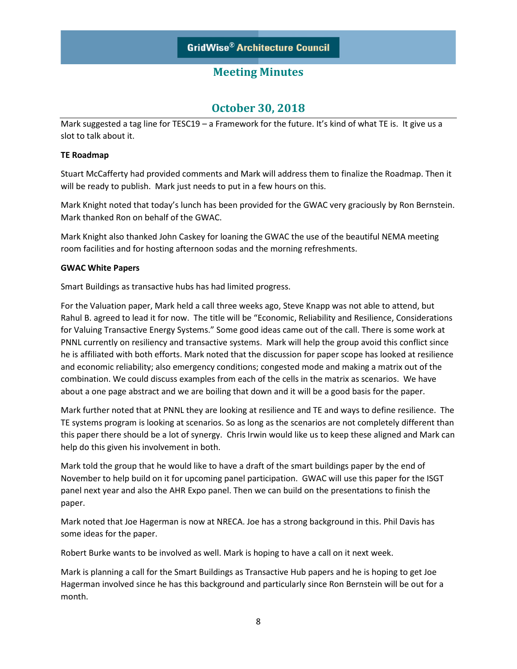# **October 30, 2018**

Mark suggested a tag line for TESC19 – a Framework for the future. It's kind of what TE is. It give us a slot to talk about it.

### **TE Roadmap**

Stuart McCafferty had provided comments and Mark will address them to finalize the Roadmap. Then it will be ready to publish. Mark just needs to put in a few hours on this.

Mark Knight noted that today's lunch has been provided for the GWAC very graciously by Ron Bernstein. Mark thanked Ron on behalf of the GWAC.

Mark Knight also thanked John Caskey for loaning the GWAC the use of the beautiful NEMA meeting room facilities and for hosting afternoon sodas and the morning refreshments.

### **GWAC White Papers**

Smart Buildings as transactive hubs has had limited progress.

For the Valuation paper, Mark held a call three weeks ago, Steve Knapp was not able to attend, but Rahul B. agreed to lead it for now. The title will be "Economic, Reliability and Resilience, Considerations for Valuing Transactive Energy Systems." Some good ideas came out of the call. There is some work at PNNL currently on resiliency and transactive systems. Mark will help the group avoid this conflict since he is affiliated with both efforts. Mark noted that the discussion for paper scope has looked at resilience and economic reliability; also emergency conditions; congested mode and making a matrix out of the combination. We could discuss examples from each of the cells in the matrix as scenarios. We have about a one page abstract and we are boiling that down and it will be a good basis for the paper.

Mark further noted that at PNNL they are looking at resilience and TE and ways to define resilience. The TE systems program is looking at scenarios. So as long as the scenarios are not completely different than this paper there should be a lot of synergy. Chris Irwin would like us to keep these aligned and Mark can help do this given his involvement in both.

Mark told the group that he would like to have a draft of the smart buildings paper by the end of November to help build on it for upcoming panel participation. GWAC will use this paper for the ISGT panel next year and also the AHR Expo panel. Then we can build on the presentations to finish the paper.

Mark noted that Joe Hagerman is now at NRECA. Joe has a strong background in this. Phil Davis has some ideas for the paper.

Robert Burke wants to be involved as well. Mark is hoping to have a call on it next week.

Mark is planning a call for the Smart Buildings as Transactive Hub papers and he is hoping to get Joe Hagerman involved since he has this background and particularly since Ron Bernstein will be out for a month.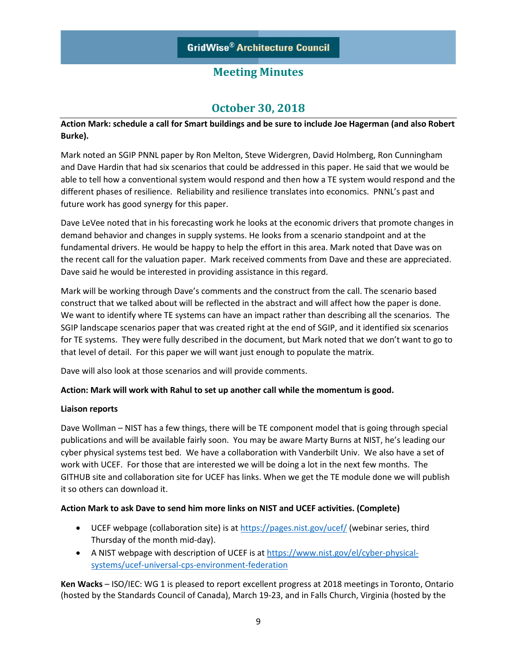# **October 30, 2018**

## **Action Mark: schedule a call for Smart buildings and be sure to include Joe Hagerman (and also Robert Burke).**

Mark noted an SGIP PNNL paper by Ron Melton, Steve Widergren, David Holmberg, Ron Cunningham and Dave Hardin that had six scenarios that could be addressed in this paper. He said that we would be able to tell how a conventional system would respond and then how a TE system would respond and the different phases of resilience. Reliability and resilience translates into economics. PNNL's past and future work has good synergy for this paper.

Dave LeVee noted that in his forecasting work he looks at the economic drivers that promote changes in demand behavior and changes in supply systems. He looks from a scenario standpoint and at the fundamental drivers. He would be happy to help the effort in this area. Mark noted that Dave was on the recent call for the valuation paper. Mark received comments from Dave and these are appreciated. Dave said he would be interested in providing assistance in this regard.

Mark will be working through Dave's comments and the construct from the call. The scenario based construct that we talked about will be reflected in the abstract and will affect how the paper is done. We want to identify where TE systems can have an impact rather than describing all the scenarios. The SGIP landscape scenarios paper that was created right at the end of SGIP, and it identified six scenarios for TE systems. They were fully described in the document, but Mark noted that we don't want to go to that level of detail. For this paper we will want just enough to populate the matrix.

Dave will also look at those scenarios and will provide comments.

### **Action: Mark will work with Rahul to set up another call while the momentum is good.**

### **Liaison reports**

Dave Wollman – NIST has a few things, there will be TE component model that is going through special publications and will be available fairly soon. You may be aware Marty Burns at NIST, he's leading our cyber physical systems test bed. We have a collaboration with Vanderbilt Univ. We also have a set of work with UCEF. For those that are interested we will be doing a lot in the next few months. The GITHUB site and collaboration site for UCEF has links. When we get the TE module done we will publish it so others can download it.

## **Action Mark to ask Dave to send him more links on NIST and UCEF activities. (Complete)**

- UCEF webpage (collaboration site) is at  $https://pages.nist.gov/ucef/$  (webinar series, third Thursday of the month mid-day).
- A NIST webpage with description of UCEF is at [https://www.nist.gov/el/cyber-physical](https://www.nist.gov/el/cyber-physical-systems/ucef-universal-cps-environment-federation)[systems/ucef-universal-cps-environment-federation](https://www.nist.gov/el/cyber-physical-systems/ucef-universal-cps-environment-federation)

**Ken Wacks** – ISO/IEC: WG 1 is pleased to report excellent progress at 2018 meetings in Toronto, Ontario (hosted by the Standards Council of Canada), March 19-23, and in Falls Church, Virginia (hosted by the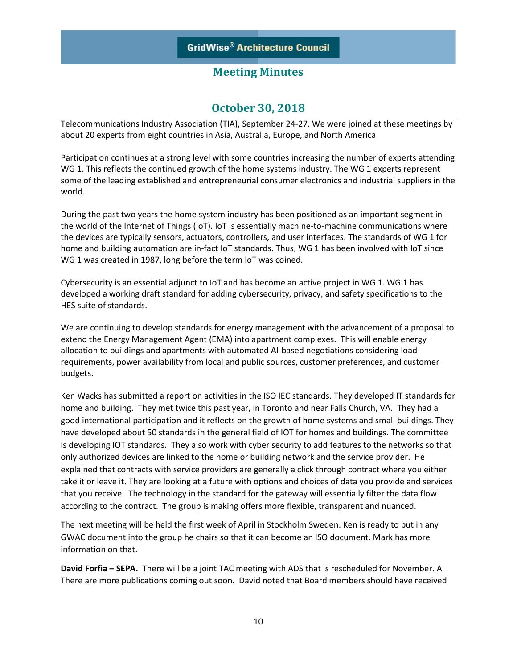## **October 30, 2018**

Telecommunications Industry Association (TIA), September 24-27. We were joined at these meetings by about 20 experts from eight countries in Asia, Australia, Europe, and North America.

Participation continues at a strong level with some countries increasing the number of experts attending WG 1. This reflects the continued growth of the home systems industry. The WG 1 experts represent some of the leading established and entrepreneurial consumer electronics and industrial suppliers in the world.

During the past two years the home system industry has been positioned as an important segment in the world of the Internet of Things (IoT). IoT is essentially machine-to-machine communications where the devices are typically sensors, actuators, controllers, and user interfaces. The standards of WG 1 for home and building automation are in-fact IoT standards. Thus, WG 1 has been involved with IoT since WG 1 was created in 1987, long before the term IoT was coined.

Cybersecurity is an essential adjunct to IoT and has become an active project in WG 1. WG 1 has developed a working draft standard for adding cybersecurity, privacy, and safety specifications to the HES suite of standards.

We are continuing to develop standards for energy management with the advancement of a proposal to extend the Energy Management Agent (EMA) into apartment complexes. This will enable energy allocation to buildings and apartments with automated AI-based negotiations considering load requirements, power availability from local and public sources, customer preferences, and customer budgets.

Ken Wacks has submitted a report on activities in the ISO IEC standards. They developed IT standards for home and building. They met twice this past year, in Toronto and near Falls Church, VA. They had a good international participation and it reflects on the growth of home systems and small buildings. They have developed about 50 standards in the general field of IOT for homes and buildings. The committee is developing IOT standards. They also work with cyber security to add features to the networks so that only authorized devices are linked to the home or building network and the service provider. He explained that contracts with service providers are generally a click through contract where you either take it or leave it. They are looking at a future with options and choices of data you provide and services that you receive. The technology in the standard for the gateway will essentially filter the data flow according to the contract. The group is making offers more flexible, transparent and nuanced.

The next meeting will be held the first week of April in Stockholm Sweden. Ken is ready to put in any GWAC document into the group he chairs so that it can become an ISO document. Mark has more information on that.

**David Forfia – SEPA.** There will be a joint TAC meeting with ADS that is rescheduled for November. A There are more publications coming out soon. David noted that Board members should have received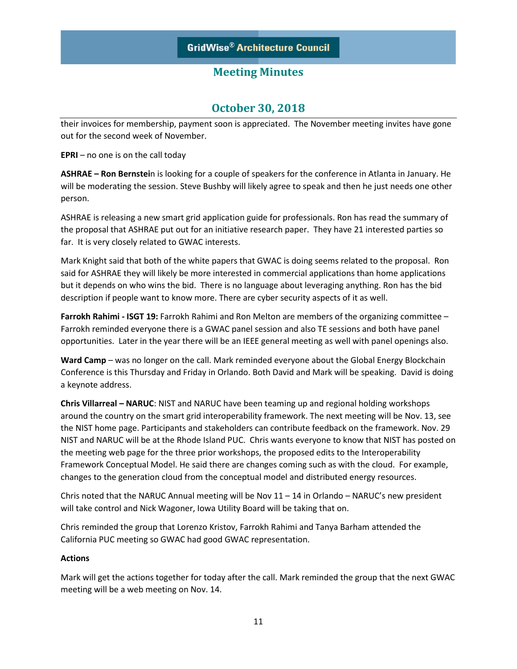# **October 30, 2018**

their invoices for membership, payment soon is appreciated. The November meeting invites have gone out for the second week of November.

**EPRI** – no one is on the call today

**ASHRAE – Ron Bernstei**n is looking for a couple of speakers for the conference in Atlanta in January. He will be moderating the session. Steve Bushby will likely agree to speak and then he just needs one other person.

ASHRAE is releasing a new smart grid application guide for professionals. Ron has read the summary of the proposal that ASHRAE put out for an initiative research paper. They have 21 interested parties so far. It is very closely related to GWAC interests.

Mark Knight said that both of the white papers that GWAC is doing seems related to the proposal. Ron said for ASHRAE they will likely be more interested in commercial applications than home applications but it depends on who wins the bid. There is no language about leveraging anything. Ron has the bid description if people want to know more. There are cyber security aspects of it as well.

**Farrokh Rahimi - ISGT 19:** Farrokh Rahimi and Ron Melton are members of the organizing committee – Farrokh reminded everyone there is a GWAC panel session and also TE sessions and both have panel opportunities. Later in the year there will be an IEEE general meeting as well with panel openings also.

Ward Camp – was no longer on the call. Mark reminded everyone about the Global Energy Blockchain Conference is this Thursday and Friday in Orlando. Both David and Mark will be speaking. David is doing a keynote address.

**Chris Villarreal – NARUC**: NIST and NARUC have been teaming up and regional holding workshops around the country on the smart grid interoperability framework. The next meeting will be Nov. 13, see the NIST home page. Participants and stakeholders can contribute feedback on the framework. Nov. 29 NIST and NARUC will be at the Rhode Island PUC. Chris wants everyone to know that NIST has posted on the meeting web page for the three prior workshops, the proposed edits to the Interoperability Framework Conceptual Model. He said there are changes coming such as with the cloud. For example, changes to the generation cloud from the conceptual model and distributed energy resources.

Chris noted that the NARUC Annual meeting will be Nov  $11 - 14$  in Orlando – NARUC's new president will take control and Nick Wagoner, Iowa Utility Board will be taking that on.

Chris reminded the group that Lorenzo Kristov, Farrokh Rahimi and Tanya Barham attended the California PUC meeting so GWAC had good GWAC representation.

### **Actions**

Mark will get the actions together for today after the call. Mark reminded the group that the next GWAC meeting will be a web meeting on Nov. 14.